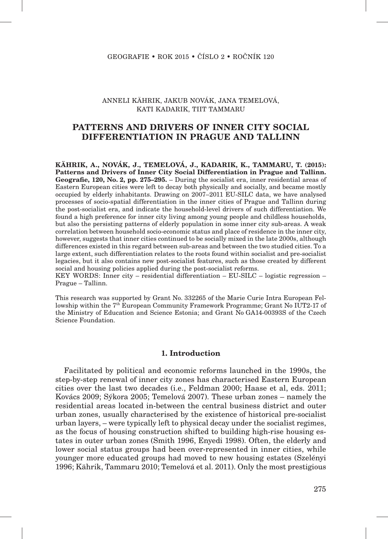### ANNELI KÄHRIK, JAKUB NOVÁK, JANA TEMELOVÁ, KATI KADARIK, TIIT TAMMARU

# **PATTERNS AND DRIVERS OF INNER CITY SOCIAL DIFFERENTIATION IN PRAGUE AND TALLINN**

**KÄHRIK, A., NOVÁK, J., TEMELOVÁ, J., KADARIK, K., TAMMARU, T. (2015): Patterns and Drivers of Inner City Social Differentiation in Prague and Tallinn. Geografie, 120, No. 2 , pp. 275–295.** – During the socialist era, inner residential areas of Eastern European cities were left to decay both physically and socially, and became mostly occupied by elderly inhabitants. Drawing on 2007–2011 EU-SILC data, we have analysed processes of socio-spatial differentiation in the inner cities of Prague and Tallinn during the post-socialist era, and indicate the household-level drivers of such differentiation. We found a high preference for inner city living among young people and childless households, but also the persisting patterns of elderly population in some inner city sub-areas. A weak correlation between household socio-economic status and place of residence in the inner city, however, suggests that inner cities continued to be socially mixed in the late 2000s, although differences existed in this regard between sub-areas and between the two studied cities. To a large extent, such differentiation relates to the roots found within socialist and pre-socialist legacies, but it also contains new post-socialist features, such as those created by different social and housing policies applied during the post-socialist reforms.

KEY WORDS: Inner city – residential differentiation –  $EU-SILC - logistic regression -$ Prague – Tallinn.

This research was supported by Grant No. 332265 of the Marie Curie Intra European Fellowship within the  $7^{th}$  European Community Framework Programme; Grant No IUT2-17 of the Ministry of Education and Science Estonia; and Grant No GA14-00393S of the Czech Science Foundation.

## **1. Introduction**

Facilitated by political and economic reforms launched in the 1990s, the step-by-step renewal of inner city zones has characterised Eastern European cities over the last two decades (i.e., Feldman 2000; Haase et al, eds. 2011; Kovács 2009; Sýkora 2005; Temelová 2007). These urban zones – namely the residential areas located in-between the central business district and outer urban zones, usually characterised by the existence of historical pre-socialist urban layers, – were typically left to physical decay under the socialist regimes, as the focus of housing construction shifted to building high-rise housing estates in outer urban zones (Smith 1996, Enyedi 1998). Often, the elderly and lower social status groups had been over-represented in inner cities, while younger more educated groups had moved to new housing estates (Szelényi 1996; Kährik, Tammaru 2010; Temelová et al. 2011). Only the most prestigious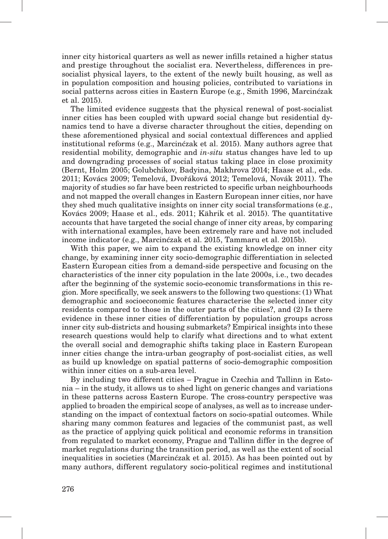inner city historical quarters as well as newer infills retained a higher status and prestige throughout the socialist era. Nevertheless, differences in presocialist physical layers, to the extent of the newly built housing, as well as in population composition and housing policies, contributed to variations in social patterns across cities in Eastern Europe (e.g., Smith 1996, Marcinćzak et al. 2015).

The limited evidence suggests that the physical renewal of post-socialist inner cities has been coupled with upward social change but residential dynamics tend to have a diverse character throughout the cities, depending on these aforementioned physical and social contextual differences and applied institutional reforms (e.g., Marcinćzak et al. 2015). Many authors agree that residential mobility, demographic and *in-situ* status changes have led to up and downgrading processes of social status taking place in close proximity (Bernt, Holm 2005; Golubchikov, Badyina, Makhrova 2014; Haase et al., eds. 2011; Kovács 2009; Temelová, Dvořáková 2012; Temelová, Novák 2011). The majority of studies so far have been restricted to specific urban neighbourhoods and not mapped the overall changes in Eastern European inner cities, nor have they shed much qualitative insights on inner city social transformations (e.g., Kovács 2009; Haase et al., eds. 2011; Kährik et al. 2015). The quantitative accounts that have targeted the social change of inner city areas, by comparing with international examples, have been extremely rare and have not included income indicator (e.g., Marcinćzak et al. 2015, Tammaru et al. 2015b).

With this paper, we aim to expand the existing knowledge on inner city change, by examining inner city socio-demographic differentiation in selected Eastern European cities from a demand-side perspective and focusing on the characteristics of the inner city population in the late 2000s, i.e., two decades after the beginning of the systemic socio-economic transformations in this region. More specifically, we seek answers to the following two questions: (1) What demographic and socioeconomic features characterise the selected inner city residents compared to those in the outer parts of the cities?, and (2) Is there evidence in these inner cities of differentiation by population groups across inner city sub-districts and housing submarkets? Empirical insights into these research questions would help to clarify what directions and to what extent the overall social and demographic shifts taking place in Eastern European inner cities change the intra-urban geography of post-socialist cities, as well as build up knowledge on spatial patterns of socio-demographic composition within inner cities on a sub-area level.

By including two different cities – Prague in Czechia and Tallinn in Estonia – in the study, it allows us to shed light on generic changes and variations in these patterns across Eastern Europe. The cross-country perspective was applied to broaden the empirical scope of analyses, as well as to increase understanding on the impact of contextual factors on socio-spatial outcomes. While sharing many common features and legacies of the communist past, as well as the practice of applying quick political and economic reforms in transition from regulated to market economy, Prague and Tallinn differ in the degree of market regulations during the transition period, as well as the extent of social inequalities in societies (Marcinćzak et al. 2015). As has been pointed out by many authors, different regulatory socio-political regimes and institutional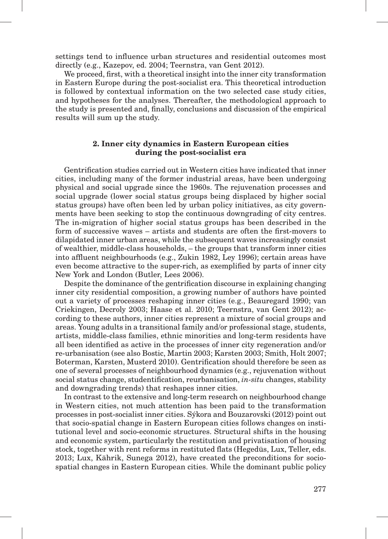settings tend to influence urban structures and residential outcomes most directly (e.g., Kazepov, ed. 2004; Teernstra, van Gent 2012).

We proceed, first, with a theoretical insight into the inner city transformation in Eastern Europe during the post-socialist era. This theoretical introduction is followed by contextual information on the two selected case study cities, and hypotheses for the analyses. Thereafter, the methodological approach to the study is presented and, finally, conclusions and discussion of the empirical results will sum up the study.

### **2. Inner city dynamics in Eastern European cities during the post-socialist era**

Gentrification studies carried out in Western cities have indicated that inner cities, including many of the former industrial areas, have been undergoing physical and social upgrade since the 1960s. The rejuvenation processes and social upgrade (lower social status groups being displaced by higher social status groups) have often been led by urban policy initiatives, as city governments have been seeking to stop the continuous downgrading of city centres. The in-migration of higher social status groups has been described in the form of successive waves – artists and students are often the first-movers to dilapidated inner urban areas, while the subsequent waves increasingly consist of wealthier, middle-class households, – the groups that transform inner cities into affluent neighbourhoods (e.g., Zukin 1982, Ley 1996); certain areas have even become attractive to the super-rich, as exemplified by parts of inner city New York and London (Butler, Lees 2006).

Despite the dominance of the gentrification discourse in explaining changing inner city residential composition, a growing number of authors have pointed out a variety of processes reshaping inner cities (e.g., Beauregard 1990; van Criekingen, Decroly 2003; Haase et al. 2010; Teernstra, van Gent 2012); according to these authors, inner cities represent a mixture of social groups and areas. Young adults in a transitional family and/or professional stage, students, artists, middle-class families, ethnic minorities and long-term residents have all been identified as active in the processes of inner city regeneration and/or re-urbanisation (see also Bostic, Martin 2003; Karsten 2003; Smith, Holt 2007; Boterman, Karsten, Musterd 2010). Gentrification should therefore be seen as one of several processes of neighbourhood dynamics (e.g., rejuvenation without social status change, studentification, reurbanisation, *in-situ* changes, stability and downgrading trends) that reshapes inner cities.

In contrast to the extensive and long-term research on neighbourhood change in Western cities, not much attention has been paid to the transformation processes in post-socialist inner cities. Sýkora and Bouzarovski (2012) point out that socio-spatial change in Eastern European cities follows changes on institutional level and socio-economic structures. Structural shifts in the housing and economic system, particularly the restitution and privatisation of housing stock, together with rent reforms in restituted flats (Hegedüs, Lux, Teller, eds. 2013; Lux, Kährik, Sunega 2012), have created the preconditions for sociospatial changes in Eastern European cities. While the dominant public policy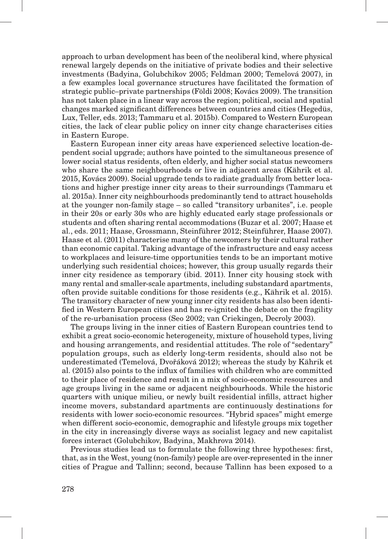approach to urban development has been of the neoliberal kind, where physical renewal largely depends on the initiative of private bodies and their selective investments (Badyina, Golubchikov 2005; Feldman 2000; Temelová 2007), in a few examples local governance structures have facilitated the formation of strategic public–private partnerships (Földi 2008; Kovács 2009). The transition has not taken place in a linear way across the region; political, social and spatial changes marked significant differences between countries and cities (Hegedüs, Lux, Teller, eds. 2013; Tammaru et al. 2015b). Compared to Western European cities, the lack of clear public policy on inner city change characterises cities in Eastern Europe.

Eastern European inner city areas have experienced selective location-dependent social upgrade; authors have pointed to the simultaneous presence of lower social status residents, often elderly, and higher social status newcomers who share the same neighbourhoods or live in adjacent areas (Kährik et al. 2015, Kovács 2009). Social upgrade tends to radiate gradually from better locations and higher prestige inner city areas to their surroundings (Tammaru et al. 2015a). Inner city neighbourhoods predominantly tend to attract households at the younger non-family stage – so called "transitory urbanites", i.e. people in their 20s or early 30s who are highly educated early stage professionals or students and often sharing rental accommodations (Buzar et al. 2007; Haase et al., eds. 2011; Haase, Grossmann, Steinführer 2012; Steinführer, Haase 2007). Haase et al. (2011) characterise many of the newcomers by their cultural rather than economic capital. Taking advantage of the infrastructure and easy access to workplaces and leisure-time opportunities tends to be an important motive underlying such residential choices; however, this group usually regards their inner city residence as temporary (ibid. 2011). Inner city housing stock with many rental and smaller-scale apartments, including substandard apartments, often provide suitable conditions for those residents (e.g., Kährik et al. 2015). The transitory character of new young inner city residents has also been identified in Western European cities and has re-ignited the debate on the fragility of the re-urbanisation process (Seo 2002; van Criekingen, Decroly 2003).

The groups living in the inner cities of Eastern European countries tend to exhibit a great socio-economic heterogeneity, mixture of household types, living and housing arrangements, and residential attitudes. The role of "sedentary" population groups, such as elderly long-term residents, should also not be underestimated (Temelová, Dvořáková 2012); whereas the study by Kährik et al. (2015) also points to the influx of families with children who are committed to their place of residence and result in a mix of socio-economic resources and age groups living in the same or adjacent neighbourhoods. While the historic quarters with unique milieu, or newly built residential infills, attract higher income movers, substandard apartments are continuously destinations for residents with lower socio-economic resources. "Hybrid spaces" might emerge when different socio-economic, demographic and lifestyle groups mix together in the city in increasingly diverse ways as socialist legacy and new capitalist forces interact (Golubchikov, Badyina, Makhrova 2014).

Previous studies lead us to formulate the following three hypotheses: first, that, as in the West, young (non-family) people are over-represented in the inner cities of Prague and Tallinn; second, because Tallinn has been exposed to a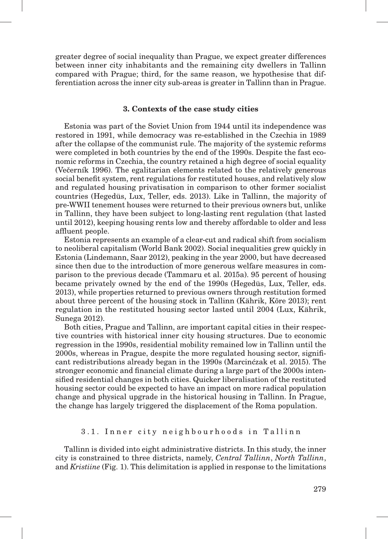greater degree of social inequality than Prague, we expect greater differences between inner city inhabitants and the remaining city dwellers in Tallinn compared with Prague; third, for the same reason, we hypothesise that differentiation across the inner city sub-areas is greater in Tallinn than in Prague.

#### **3. Contexts of the case study cities**

Estonia was part of the Soviet Union from 1944 until its independence was restored in 1991, while democracy was re-established in the Czechia in 1989 after the collapse of the communist rule. The majority of the systemic reforms were completed in both countries by the end of the 1990s. Despite the fast economic reforms in Czechia, the country retained a high degree of social equality (Večerník 1996). The egalitarian elements related to the relatively generous social benefit system, rent regulations for restituted houses, and relatively slow and regulated housing privatisation in comparison to other former socialist countries (Hegedüs, Lux, Teller, eds. 2013). Like in Tallinn, the majority of pre-WWII tenement houses were returned to their previous owners but, unlike in Tallinn, they have been subject to long-lasting rent regulation (that lasted until 2012), keeping housing rents low and thereby affordable to older and less affluent people.

Estonia represents an example of a clear-cut and radical shift from socialism to neoliberal capitalism (World Bank 2002). Social inequalities grew quickly in Estonia (Lindemann, Saar 2012), peaking in the year 2000, but have decreased since then due to the introduction of more generous welfare measures in comparison to the previous decade (Tammaru et al. 2015a). 95 percent of housing became privately owned by the end of the 1990s (Hegedüs, Lux, Teller, eds. 2013), while properties returned to previous owners through restitution formed about three percent of the housing stock in Tallinn (Kährik, Kõre 2013); rent regulation in the restituted housing sector lasted until 2004 (Lux, Kährik, Sunega 2012).

Both cities, Prague and Tallinn, are important capital cities in their respective countries with historical inner city housing structures. Due to economic regression in the 1990s, residential mobility remained low in Tallinn until the 2000s, whereas in Prague, despite the more regulated housing sector, significant redistributions already began in the 1990s (Marcinćzak et al. 2015). The stronger economic and financial climate during a large part of the 2000s intensified residential changes in both cities. Quicker liberalisation of the restituted housing sector could be expected to have an impact on more radical population change and physical upgrade in the historical housing in Tallinn. In Prague, the change has largely triggered the displacement of the Roma population.

#### 3.1. Inner city neighbourhoods in Tallinn

Tallinn is divided into eight administrative districts. In this study, the inner city is constrained to three districts, namely, *Central Tallinn*, *North Tallinn*, and *Kristiine* (Fig. 1). This delimitation is applied in response to the limitations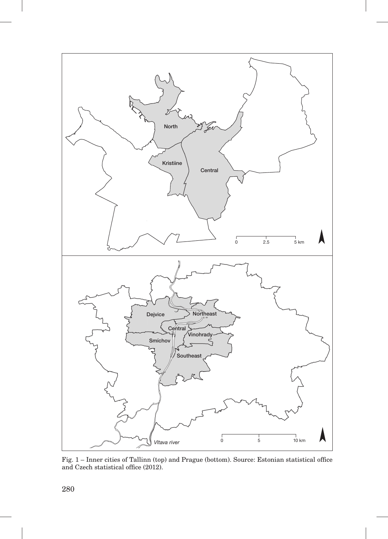

Fig. 1 – Inner cities of Tallinn (top) and Prague (bottom). Source: Estonian statistical office and Czech statistical office (2012).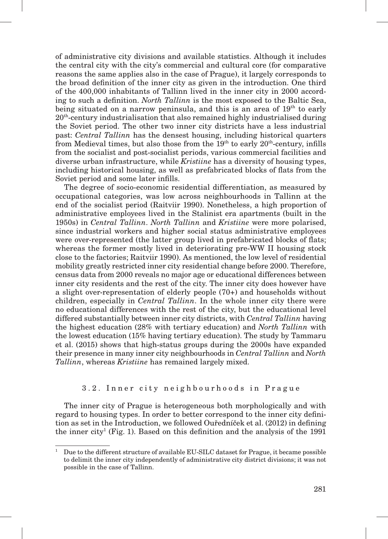of administrative city divisions and available statistics. Although it includes the central city with the city's commercial and cultural core (for comparative reasons the same applies also in the case of Prague), it largely corresponds to the broad definition of the inner city as given in the introduction. One third of the 400,000 inhabitants of Tallinn lived in the inner city in 2000 according to such a definition. *North Tallinn* is the most exposed to the Baltic Sea, being situated on a narrow peninsula, and this is an area of  $19<sup>th</sup>$  to early  $20<sup>th</sup>$ -century industrialisation that also remained highly industrialised during the Soviet period. The other two inner city districts have a less industrial past: *Central Tallinn* has the densest housing, including historical quarters from Medieval times, but also those from the  $19<sup>th</sup>$  to early  $20<sup>th</sup>$ -century, infills from the socialist and post-socialist periods, various commercial facilities and diverse urban infrastructure, while *Kristiine* has a diversity of housing types, including historical housing, as well as prefabricated blocks of flats from the Soviet period and some later infills.

The degree of socio-economic residential differentiation, as measured by occupational categories, was low across neighbourhoods in Tallinn at the end of the socialist period (Raitviir 1990). Nonetheless, a high proportion of administrative employees lived in the Stalinist era apartments (built in the 1950s) in *Central Tallinn*. *North Tallinn* and *Kristiine* were more polarised, since industrial workers and higher social status administrative employees were over-represented (the latter group lived in prefabricated blocks of flats; whereas the former mostly lived in deteriorating pre-WW II housing stock close to the factories; Raitviir 1990). As mentioned, the low level of residential mobility greatly restricted inner city residential change before 2000. Therefore, census data from 2000 reveals no major age or educational differences between inner city residents and the rest of the city. The inner city does however have a slight over-representation of elderly people (70+) and households without children, especially in *Central Tallinn*. In the whole inner city there were no educational differences with the rest of the city, but the educational level differed substantially between inner city districts, with *Central Tallinn* having the highest education (28% with tertiary education) and *North Tallinn* with the lowest education (15% having tertiary education). The study by Tammaru et al. (2015) shows that high-status groups during the 2000s have expanded their presence in many inner city neighbourhoods in *Central Tallinn* and *North Tallinn*, whereas *Kristiine* has remained largely mixed.

### 3.2. Inner city neighbourhoods in Prague

The inner city of Prague is heterogeneous both morphologically and with regard to housing types. In order to better correspond to the inner city definition as set in the Introduction, we followed Ouředníček et al. (2012) in defining the inner city<sup>1</sup> (Fig. 1). Based on this definition and the analysis of the  $1991$ 

<sup>1</sup> Due to the different structure of available EU-SILC dataset for Prague, it became possible to delimit the inner city independently of administrative city district divisions; it was not possible in the case of Tallinn.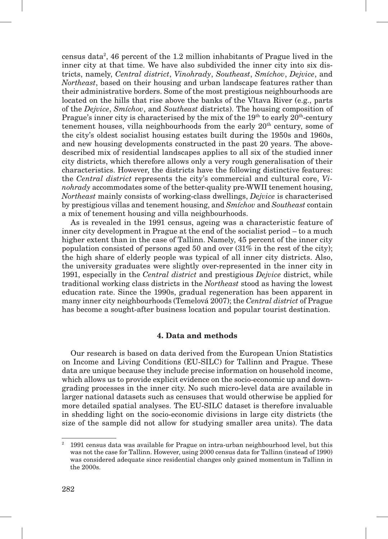census data2 , 46 percent of the 1.2 million inhabitants of Prague lived in the inner city at that time. We have also subdivided the inner city into six districts, namely, *Central district*, *Vinohrady*, *Southeast*, *Smíchov*, *Dejvice*, and *Northeast*, based on their housing and urban landscape features rather than their administrative borders. Some of the most prestigious neighbourhoods are located on the hills that rise above the banks of the Vltava River (e.g., parts of the *Dejvice*, *Smíchov*, and *Southeast* districts). The housing composition of Prague's inner city is characterised by the mix of the  $19<sup>th</sup>$  to early  $20<sup>th</sup>$ -century tenement houses, villa neighbourhoods from the early  $20<sup>th</sup>$  century, some of the city's oldest socialist housing estates built during the 1950s and 1960s, and new housing developments constructed in the past 20 years. The abovedescribed mix of residential landscapes applies to all six of the studied inner city districts, which therefore allows only a very rough generalisation of their characteristics. However, the districts have the following distinctive features: the *Central district* represents the city's commercial and cultural core, *Vinohrady* accommodates some of the better-quality pre-WWII tenement housing, *Northeast* mainly consists of working-class dwellings, *Dejvice* is characterised by prestigious villas and tenement housing, and *Smíchov* and *Southeast* contain a mix of tenement housing and villa neighbourhoods.

As is revealed in the 1991 census, ageing was a characteristic feature of inner city development in Prague at the end of the socialist period – to a much higher extent than in the case of Tallinn. Namely, 45 percent of the inner city population consisted of persons aged 50 and over (31% in the rest of the city); the high share of elderly people was typical of all inner city districts. Also, the university graduates were slightly over-represented in the inner city in 1991, especially in the *Central district* and prestigious *Dejvice* district, while traditional working class districts in the *Northeast* stood as having the lowest education rate. Since the 1990s, gradual regeneration has been apparent in many inner city neighbourhoods (Temelová 2007); the *Central district* of Prague has become a sought-after business location and popular tourist destination.

## **4. Data and methods**

Our research is based on data derived from the European Union Statistics on Income and Living Conditions (EU-SILC) for Tallinn and Prague. These data are unique because they include precise information on household income, which allows us to provide explicit evidence on the socio-economic up and downgrading processes in the inner city. No such micro-level data are available in larger national datasets such as censuses that would otherwise be applied for more detailed spatial analyses. The EU-SILC dataset is therefore invaluable in shedding light on the socio-economic divisions in large city districts (the size of the sample did not allow for studying smaller area units). The data

<sup>2</sup> 1991 census data was available for Prague on intra-urban neighbourhood level, but this was not the case for Tallinn. However, using 2000 census data for Tallinn (instead of 1990) was considered adequate since residential changes only gained momentum in Tallinn in the 2000s.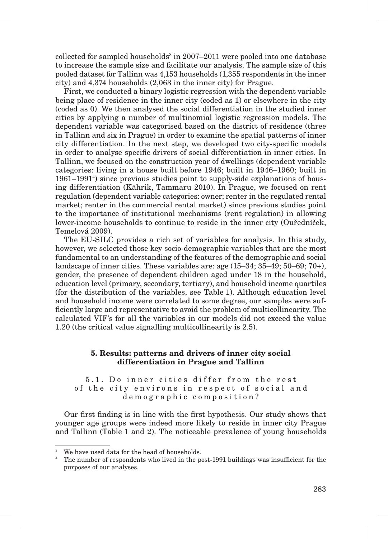collected for sampled households<sup>3</sup> in 2007–2011 were pooled into one database to increase the sample size and facilitate our analysis. The sample size of this pooled dataset for Tallinn was 4,153 households (1,355 respondents in the inner city) and 4,374 households (2,063 in the inner city) for Prague.

First, we conducted a binary logistic regression with the dependent variable being place of residence in the inner city (coded as 1) or elsewhere in the city (coded as 0). We then analysed the social differentiation in the studied inner cities by applying a number of multinomial logistic regression models. The dependent variable was categorised based on the district of residence (three in Tallinn and six in Prague) in order to examine the spatial patterns of inner city differentiation. In the next step, we developed two city-specific models in order to analyse specific drivers of social differentiation in inner cities. In Tallinn, we focused on the construction year of dwellings (dependent variable categories: living in a house built before 1946; built in 1946–1960; built in 1961–1991<sup>4</sup>) since previous studies point to supply-side explanations of housing differentiation (Kährik, Tammaru 2010). In Prague, we focused on rent regulation (dependent variable categories: owner; renter in the regulated rental market; renter in the commercial rental market) since previous studies point to the importance of institutional mechanisms (rent regulation) in allowing lower-income households to continue to reside in the inner city (Ouředníček, Temelová 2009).

The EU-SILC provides a rich set of variables for analysis. In this study, however, we selected those key socio-demographic variables that are the most fundamental to an understanding of the features of the demographic and social landscape of inner cities. These variables are: age (15–34; 35–49; 50–69; 70+), gender, the presence of dependent children aged under 18 in the household, education level (primary, secondary, tertiary), and household income quartiles (for the distribution of the variables, see Table 1). Although education level and household income were correlated to some degree, our samples were sufficiently large and representative to avoid the problem of multicollinearity. The calculated VIF's for all the variables in our models did not exceed the value 1.20 (the critical value signalling multicollinearity is 2.5).

## **5. Results: patterns and drivers of inner city social differentiation in Prague and Tallinn**

5.1. Do inner cities differ from the rest of the city environs in respect of social and demographic composition?

Our first finding is in line with the first hypothesis. Our study shows that younger age groups were indeed more likely to reside in inner city Prague and Tallinn (Table 1 and 2). The noticeable prevalence of young households

<sup>&</sup>lt;sup>3</sup> We have used data for the head of households.

<sup>4</sup> The number of respondents who lived in the post-1991 buildings was insufficient for the purposes of our analyses.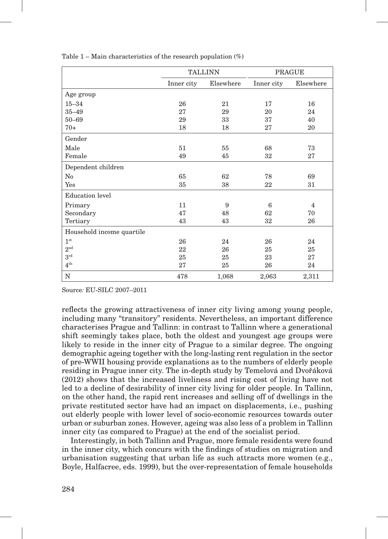|                           |            | <b>TALLINN</b> | <b>PRAGUE</b> |           |  |
|---------------------------|------------|----------------|---------------|-----------|--|
|                           | Inner city | Elsewhere      | Inner city    | Elsewhere |  |
| Age group                 |            |                |               |           |  |
| $15 - 34$                 | 26         | 21             | 17            | 16        |  |
| $35 - 49$                 | 27         | 29             | 20            | 24        |  |
| $50 - 69$                 | 29         | 33             | 37            | 40        |  |
| $70+$                     | 18         | 18             | 27            | 20        |  |
| Gender                    |            |                |               |           |  |
| Male                      | 51<br>55   |                | 68            | 73        |  |
| Female                    | 49         | 45             | 32            | 27        |  |
| Dependent children        |            |                |               |           |  |
| No                        | 65         | 62             | 78            | 69        |  |
| Yes                       | 35         | 38             | 22            | 31        |  |
| <b>Education</b> level    |            |                |               |           |  |
| Primary                   | 11         | 9              | 6             | 4         |  |
| Secondary                 | 47         | 48             | 62            | 70        |  |
| Tertiary                  | 43         | 43             | 32            | 26        |  |
| Household income quartile |            |                |               |           |  |
| 1 <sup>st</sup>           | 26         | 24             | 26            | 24        |  |
| $2^{\rm nd}$              | 22         | 26             | 25            | 25        |  |
| $3^{\rm rd}$              | 25         | 25             | 23            | 27        |  |
| $4^{\text{th}}$           | 27         | 25             | 26            | 24        |  |
| ${\bf N}$                 | 478        | 1,068          | 2,063         | 2,311     |  |

Table  $1 -$  Main characteristics of the research population  $(\%)$ 

Source*:* EU-SILC 2007–2011

reflects the growing attractiveness of inner city living among young people, including many "transitory" residents. Nevertheless, an important difference characterises Prague and Tallinn: in contrast to Tallinn where a generational shift seemingly takes place, both the oldest and youngest age groups were likely to reside in the inner city of Prague to a similar degree. The ongoing demographic ageing together with the long-lasting rent regulation in the sector of pre-WWII housing provide explanations as to the numbers of elderly people residing in Prague inner city. The in-depth study by Temelová and Dvořáková (2012) shows that the increased liveliness and rising cost of living have not led to a decline of desirability of inner city living for older people. In Tallinn, on the other hand, the rapid rent increases and selling off of dwellings in the private restituted sector have had an impact on displacements, i.e., pushing out elderly people with lower level of socio-economic resources towards outer urban or suburban zones. However, ageing was also less of a problem in Tallinn inner city (as compared to Prague) at the end of the socialist period.

Interestingly, in both Tallinn and Prague, more female residents were found in the inner city, which concurs with the findings of studies on migration and urbanisation suggesting that urban life as such attracts more women (e.g., Boyle, Halfacree, eds. 1999), but the over-representation of female households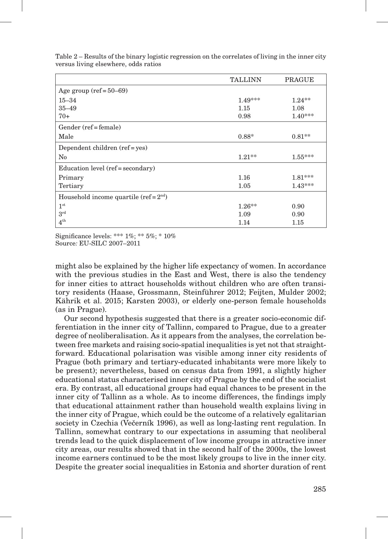|                                          | <b>TALLINN</b> | <b>PRAGUE</b> |
|------------------------------------------|----------------|---------------|
| Age group $(\text{ref} = 50 - 69)$       |                |               |
| $15 - 34$                                | $1.49***$      | $1.24**$      |
| $35 - 49$                                | 1.15           | 1.08          |
| $70+$                                    | 0.98           | $1.40***$     |
| Gender (ref = female)                    |                |               |
| Male                                     | $0.88*$        | $0.81**$      |
| Dependent children (ref = yes)           |                |               |
| $\rm No$                                 | $1.21**$       | $1.55***$     |
| Education level (ref = secondary)        |                |               |
| Primary                                  | 1.16           | $1.81***$     |
| Tertiary                                 | 1.05           | $1.43***$     |
| Household income quartile (ref = $2nd$ ) |                |               |
| $1^{\rm st}$                             | $1.26**$       | 0.90          |
| $3^{\rm rd}$                             | 1.09           | 0.90          |
| $4^{\text{th}}$                          | 1.14           | 1.15          |

Table 2 – Results of the binary logistic regression on the correlates of living in the inner city versus living elsewhere, odds ratios

Significance levels: \*\*\* 1%; \*\* 5%; \* 10%

Source*:* EU-SILC 2007–2011

might also be explained by the higher life expectancy of women. In accordance with the previous studies in the East and West, there is also the tendency for inner cities to attract households without children who are often transitory residents (Haase, Grossmann, Steinführer 2012; Feijten, Mulder 2002; Kährik et al. 2015; Karsten 2003), or elderly one-person female households (as in Prague).

Our second hypothesis suggested that there is a greater socio-economic differentiation in the inner city of Tallinn, compared to Prague, due to a greater degree of neoliberalisation. As it appears from the analyses, the correlation between free markets and raising socio-spatial inequalities is yet not that straightforward. Educational polarisation was visible among inner city residents of Prague (both primary and tertiary-educated inhabitants were more likely to be present); nevertheless, based on census data from 1991, a slightly higher educational status characterised inner city of Prague by the end of the socialist era. By contrast, all educational groups had equal chances to be present in the inner city of Tallinn as a whole. As to income differences, the findings imply that educational attainment rather than household wealth explains living in the inner city of Prague, which could be the outcome of a relatively egalitarian society in Czechia (Večerník 1996), as well as long-lasting rent regulation. In Tallinn, somewhat contrary to our expectations in assuming that neoliberal trends lead to the quick displacement of low income groups in attractive inner city areas, our results showed that in the second half of the 2000s, the lowest income earners continued to be the most likely groups to live in the inner city. Despite the greater social inequalities in Estonia and shorter duration of rent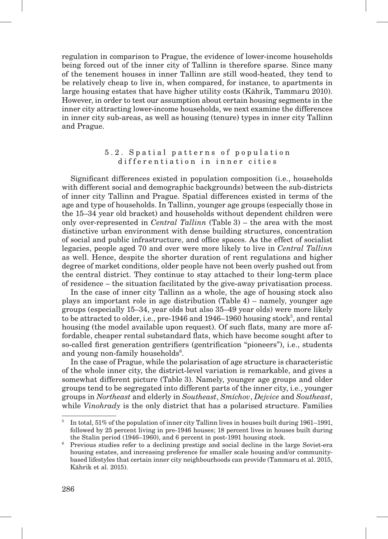regulation in comparison to Prague, the evidence of lower-income households being forced out of the inner city of Tallinn is therefore sparse. Since many of the tenement houses in inner Tallinn are still wood-heated, they tend to be relatively cheap to live in, when compared, for instance, to apartments in large housing estates that have higher utility costs (Kährik, Tammaru 2010). However, in order to test our assumption about certain housing segments in the inner city attracting lower-income households, we next examine the differences in inner city sub-areas, as well as housing (tenure) types in inner city Tallinn and Prague.

### 5.2. Spatial patterns of population differentiation in inner cities

Significant differences existed in population composition (i.e., households with different social and demographic backgrounds) between the sub-districts of inner city Tallinn and Prague. Spatial differences existed in terms of the age and type of households. In Tallinn, younger age groups (especially those in the 15–34 year old bracket) and households without dependent children were only over-represented in *Central Tallinn* (Table 3) – the area with the most distinctive urban environment with dense building structures, concentration of social and public infrastructure, and office spaces. As the effect of socialist legacies, people aged 70 and over were more likely to live in *Central Tallinn* as well. Hence, despite the shorter duration of rent regulations and higher degree of market conditions, older people have not been overly pushed out from the central district. They continue to stay attached to their long-term place of residence – the situation facilitated by the give-away privatisation process.

In the case of inner city Tallinn as a whole, the age of housing stock also plays an important role in age distribution (Table 4) – namely, younger age groups (especially 15–34, year olds but also 35–49 year olds) were more likely to be attracted to older, i.e., pre-1946 and  $1946-1960$  housing stock<sup>5</sup>, and rental housing (the model available upon request). Of such flats, many are more affordable, cheaper rental substandard flats, which have become sought after to so-called first generation gentrifiers (gentrification "pioneers"), i.e., students and young non-family households<sup>6</sup>.

In the case of Prague, while the polarisation of age structure is characteristic of the whole inner city, the district-level variation is remarkable, and gives a somewhat different picture (Table 3). Namely, younger age groups and older groups tend to be segregated into different parts of the inner city, i.e., younger groups in *Northeast* and elderly in *Southeast*, *Smíchov*, *Dejvice* and *Southeast*, while *Vinohrady* is the only district that has a polarised structure. Families

<sup>&</sup>lt;sup>5</sup> In total, 51% of the population of inner city Tallinn lives in houses built during 1961–1991, followed by 25 percent living in pre-1946 houses; 18 percent lives in houses built during the Stalin period (1946–1960), and 6 percent in post-1991 housing stock.

<sup>6</sup> Previous studies refer to a declining prestige and social decline in the large Soviet-era housing estates, and increasing preference for smaller scale housing and/or communitybased lifestyles that certain inner city neighbourhoods can provide (Tammaru et al. 2015, Kährik et al. 2015).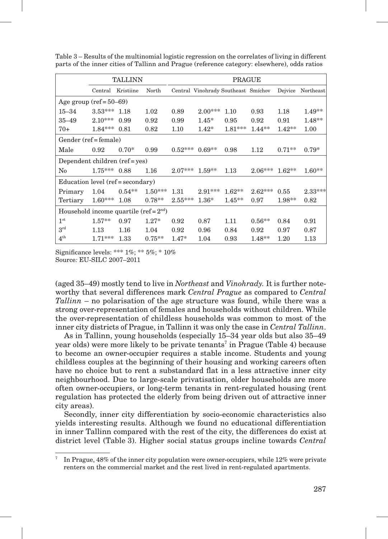|                                          | <b>TALLINN</b> |           |           | <b>PRAGUE</b> |                                     |           |           |          |           |
|------------------------------------------|----------------|-----------|-----------|---------------|-------------------------------------|-----------|-----------|----------|-----------|
|                                          | Central        | Kristiine | North     |               | Central Vinohrady Southeast Smíchov |           |           | Dejvice  | Northeast |
| Age group $(\text{ref} = 50 - 69)$       |                |           |           |               |                                     |           |           |          |           |
| $15 - 34$                                | $3.53***$      | 1.18      | 1.02      | 0.89          | $2.00***$                           | 1.10      | 0.93      | 1.18     | $1.49**$  |
| $35 - 49$                                | $2.10***$      | 0.99      | 0.92      | 0.99          | $1.45*$                             | 0.95      | 0.92      | 0.91     | $1.48**$  |
| $70+$                                    | $1.84***$      | 0.81      | 0.82      | 1.10          | $1.42*$                             | $1.81***$ | $1.44**$  | $1.42**$ | 1.00      |
| Gender (ref = female)                    |                |           |           |               |                                     |           |           |          |           |
| Male                                     | 0.92           | $0.70*$   | 0.99      | $0.52***$     | $0.69**$                            | 0.98      | 1.12      | $0.71**$ | $0.79*$   |
| Dependent children (ref = yes)           |                |           |           |               |                                     |           |           |          |           |
| No                                       | $1.75***$      | 0.88      | 1.16      | $2.07***$     | $1.59**$                            | 1.13      | 2.06***   | $1.62**$ | $1.60**$  |
| Education level (ref = secondary)        |                |           |           |               |                                     |           |           |          |           |
| Primary                                  | 1.04           | $0.54**$  | $1.50***$ | 1.31          | $2.91***$                           | $1.62**$  | $2.62***$ | 0.55     | $2.33***$ |
| Tertiary                                 | $1.60***$      | 1.08      | $0.78**$  | $2.55***$     | $1.36*$                             | $1.45**$  | 0.97      | $1.98**$ | 0.82      |
| Household income quartile (ref = $2nd$ ) |                |           |           |               |                                     |           |           |          |           |
| 1 <sup>st</sup>                          | $1.57**$       | 0.97      | $1.27*$   | 0.92          | 0.87                                | 1.11      | $0.56**$  | 0.84     | 0.91      |
| 3 <sup>rd</sup>                          | 1.13           | 1.16      | 1.04      | 0.92          | 0.96                                | 0.84      | 0.92      | 0.97     | 0.87      |
| $4^{\text{th}}$                          | $1.71***$      | 1.33      | $0.75**$  | $1.47*$       | 1.04                                | 0.93      | $1.48**$  | 1.20     | 1.13      |

Table 3 – Results of the multinomial logistic regression on the correlates of living in different parts of the inner cities of Tallinn and Prague (reference category: elsewhere), odds ratios

Significance levels: \*\*\* 1%; \*\* 5%; \* 10% Source*:* EU-SILC 2007–2011

(aged 35–49) mostly tend to live in *Northeast* and *Vinohrady.* It is further noteworthy that several differences mark *Central Prague* as compared to *Central Tallinn* – no polarisation of the age structure was found, while there was a strong over-representation of females and households without children. While the over-representation of childless households was common to most of the inner city districts of Prague, in Tallinn it was only the case in *Central Tallinn*.

As in Tallinn, young households (especially 15–34 year olds but also 35–49 year olds) were more likely to be private tenants<sup>7</sup> in Prague (Table 4) because to become an owner-occupier requires a stable income. Students and young childless couples at the beginning of their housing and working careers often have no choice but to rent a substandard flat in a less attractive inner city neighbourhood. Due to large-scale privatisation, older households are more often owner-occupiers, or long-term tenants in rent-regulated housing (rent regulation has protected the elderly from being driven out of attractive inner city areas).

Secondly, inner city differentiation by socio-economic characteristics also yields interesting results. Although we found no educational differentiation in inner Tallinn compared with the rest of the city, the differences do exist at district level (Table 3). Higher social status groups incline towards *Central* 

<sup>7</sup> In Prague, 48% of the inner city population were owner-occupiers, while 12% were private renters on the commercial market and the rest lived in rent-regulated apartments.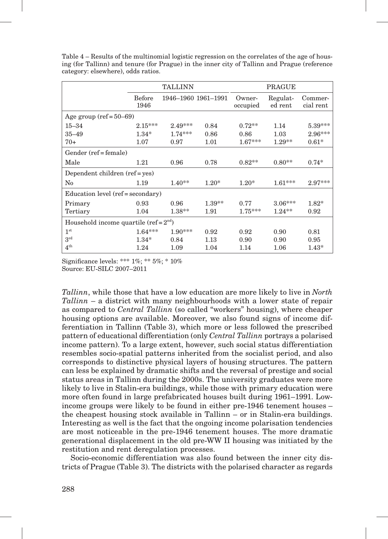|                                          |                       | <b>TALLINN</b>      |          | <b>PRAGUE</b>      |                     |                      |  |
|------------------------------------------|-----------------------|---------------------|----------|--------------------|---------------------|----------------------|--|
|                                          | <b>Before</b><br>1946 | 1946-1960 1961-1991 |          | Owner-<br>occupied | Regulat-<br>ed rent | Commer-<br>cial rent |  |
| Age group $(\text{ref} = 50 - 69)$       |                       |                     |          |                    |                     |                      |  |
| $15 - 34$                                | $2.15***$             | $2.49***$           | 0.84     | $0.72**$           | 1.14                | 5.39***              |  |
| $35 - 49$                                | $1.34*$               | $1.74***$           | 0.86     | 0.86               | 1.03                | $2.96***$            |  |
| $70+$                                    | 1.07                  | 0.97                | 1.01     | $1.67***$          | $1.29**$            | $0.61*$              |  |
| Gender (ref = female)                    |                       |                     |          |                    |                     |                      |  |
| Male                                     | 1.21                  | 0.96                | 0.78     | $0.82**$           | $0.80**$            | $0.74*$              |  |
| Dependent children (ref = yes)           |                       |                     |          |                    |                     |                      |  |
| $\rm No$                                 | 1.19                  | $1.40**$            | $1.20*$  | $1.20*$            | $1.61***$           | $2.97***$            |  |
| Education level (ref = secondary)        |                       |                     |          |                    |                     |                      |  |
| Primary                                  | 0.93                  | 0.96                | $1.39**$ | 0.77               | $3.06***$           | $1.82*$              |  |
| Tertiary                                 | 1.04                  | $1.38**$            | 1.91     | $1.75***$          | $1.24**$            | 0.92                 |  |
| Household income quartile (ref = $2nd$ ) |                       |                     |          |                    |                     |                      |  |
| 1 <sup>st</sup>                          | $1.64***$             | $1.90***$           | 0.92     | 0.92               | 0.90                | 0.81                 |  |
| $3^{\rm rd}$                             | $1.34*$               | 0.84                | 1.13     | 0.90               | 0.90                | 0.95                 |  |
| $4^{\text{th}}$                          | 1.24                  | 1.09                | 1.04     | 1.14               | 1.06                | $1.43*$              |  |

Table 4 – Results of the multinomial logistic regression on the correlates of the age of housing (for Tallinn) and tenure (for Prague) in the inner city of Tallinn and Prague (reference category: elsewhere), odds ratios.

Significance levels: \*\*\* 1%; \*\* 5%; \* 10% Source: EU-SILC 2007–2011

*Tallinn*, while those that have a low education are more likely to live in *North Tallinn* – a district with many neighbourhoods with a lower state of repair as compared to *Central Tallinn* (so called "workers" housing), where cheaper housing options are available. Moreover, we also found signs of income differentiation in Tallinn (Table 3), which more or less followed the prescribed pattern of educational differentiation (only *Central Tallinn* portrays a polarised income pattern). To a large extent, however, such social status differentiation resembles socio-spatial patterns inherited from the socialist period, and also corresponds to distinctive physical layers of housing structures. The pattern can less be explained by dramatic shifts and the reversal of prestige and social status areas in Tallinn during the 2000s. The university graduates were more likely to live in Stalin-era buildings, while those with primary education were more often found in large prefabricated houses built during 1961–1991. Lowincome groups were likely to be found in either pre-1946 tenement houses – the cheapest housing stock available in Tallinn – or in Stalin-era buildings. Interesting as well is the fact that the ongoing income polarisation tendencies are most noticeable in the pre-1946 tenement houses. The more dramatic generational displacement in the old pre-WW II housing was initiated by the restitution and rent deregulation processes.

Socio-economic differentiation was also found between the inner city districts of Prague (Table 3). The districts with the polarised character as regards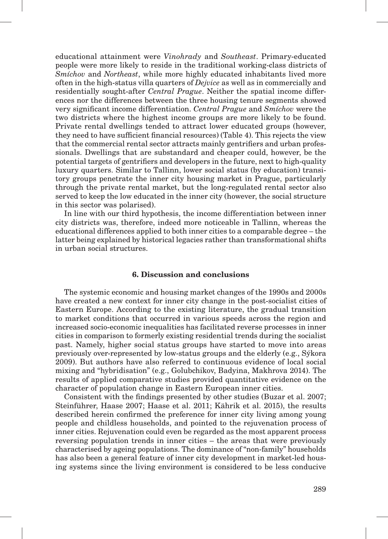educational attainment were *Vinohrady* and *Southeast*. Primary-educated people were more likely to reside in the traditional working-class districts of *Smíchov* and *Northeast*, while more highly educated inhabitants lived more often in the high-status villa quarters of *Dejvice* as well as in commercially and residentially sought-after *Central Prague*. Neither the spatial income differences nor the differences between the three housing tenure segments showed very significant income differentiation. *Central Prague* and *Smíchov* were the two districts where the highest income groups are more likely to be found. Private rental dwellings tended to attract lower educated groups (however, they need to have sufficient financial resources) (Table 4). This rejects the view that the commercial rental sector attracts mainly gentrifiers and urban professionals. Dwellings that are substandard and cheaper could, however, be the potential targets of gentrifiers and developers in the future, next to high-quality luxury quarters. Similar to Tallinn, lower social status (by education) transitory groups penetrate the inner city housing market in Prague, particularly through the private rental market, but the long-regulated rental sector also served to keep the low educated in the inner city (however, the social structure in this sector was polarised).

In line with our third hypothesis, the income differentiation between inner city districts was, therefore, indeed more noticeable in Tallinn, whereas the educational differences applied to both inner cities to a comparable degree – the latter being explained by historical legacies rather than transformational shifts in urban social structures.

### **6. Discussion and conclusions**

The systemic economic and housing market changes of the 1990s and 2000s have created a new context for inner city change in the post-socialist cities of Eastern Europe. According to the existing literature, the gradual transition to market conditions that occurred in various speeds across the region and increased socio-economic inequalities has facilitated reverse processes in inner cities in comparison to formerly existing residential trends during the socialist past. Namely, higher social status groups have started to move into areas previously over-represented by low-status groups and the elderly (e.g., Sýkora 2009). But authors have also referred to continuous evidence of local social mixing and "hybridisation" (e.g., Golubchikov, Badyina, Makhrova 2014). The results of applied comparative studies provided quantitative evidence on the character of population change in Eastern European inner cities.

Consistent with the findings presented by other studies (Buzar et al. 2007; Steinführer, Haase 2007; Haase et al. 2011; Kährik et al. 2015), the results described herein confirmed the preference for inner city living among young people and childless households, and pointed to the rejuvenation process of inner cities. Rejuvenation could even be regarded as the most apparent process reversing population trends in inner cities – the areas that were previously characterised by ageing populations. The dominance of "non-family" households has also been a general feature of inner city development in market-led housing systems since the living environment is considered to be less conducive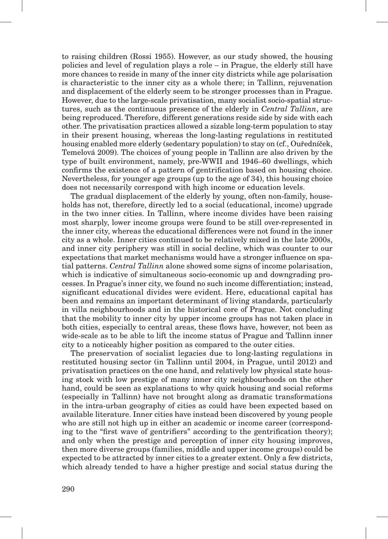to raising children (Rossi 1955). However, as our study showed, the housing policies and level of regulation plays a role – in Prague, the elderly still have more chances to reside in many of the inner city districts while age polarisation is characteristic to the inner city as a whole there; in Tallinn, rejuvenation and displacement of the elderly seem to be stronger processes than in Prague. However, due to the large-scale privatisation, many socialist socio-spatial structures, such as the continuous presence of the elderly in *Central Tallinn*, are being reproduced. Therefore, different generations reside side by side with each other. The privatisation practices allowed a sizable long-term population to stay in their present housing, whereas the long-lasting regulations in restituted housing enabled more elderly (sedentary population) to stay on (cf., Ouředníček, Temelová 2009). The choices of young people in Tallinn are also driven by the type of built environment, namely, pre-WWII and 1946–60 dwellings, which confirms the existence of a pattern of gentrification based on housing choice. Nevertheless, for younger age groups (up to the age of 34), this housing choice does not necessarily correspond with high income or education levels.

The gradual displacement of the elderly by young, often non-family, households has not, therefore, directly led to a social (educational, income) upgrade in the two inner cities. In Tallinn, where income divides have been raising most sharply, lower income groups were found to be still over-represented in the inner city, whereas the educational differences were not found in the inner city as a whole. Inner cities continued to be relatively mixed in the late 2000s, and inner city periphery was still in social decline, which was counter to our expectations that market mechanisms would have a stronger influence on spatial patterns. *Central Tallinn* alone showed some signs of income polarisation, which is indicative of simultaneous socio-economic up and downgrading processes. In Prague's inner city, we found no such income differentiation; instead, significant educational divides were evident. Here, educational capital has been and remains an important determinant of living standards, particularly in villa neighbourhoods and in the historical core of Prague. Not concluding that the mobility to inner city by upper income groups has not taken place in both cities, especially to central areas, these flows have, however, not been as wide-scale as to be able to lift the income status of Prague and Tallinn inner city to a noticeably higher position as compared to the outer cities.

The preservation of socialist legacies due to long-lasting regulations in restituted housing sector (in Tallinn until 2004, in Prague, until 2012) and privatisation practices on the one hand, and relatively low physical state housing stock with low prestige of many inner city neighbourhoods on the other hand, could be seen as explanations to why quick housing and social reforms (especially in Tallinn) have not brought along as dramatic transformations in the intra-urban geography of cities as could have been expected based on available literature. Inner cities have instead been discovered by young people who are still not high up in either an academic or income career (corresponding to the "first wave of gentrifiers" according to the gentrification theory); and only when the prestige and perception of inner city housing improves, then more diverse groups (families, middle and upper income groups) could be expected to be attracted by inner cities to a greater extent. Only a few districts, which already tended to have a higher prestige and social status during the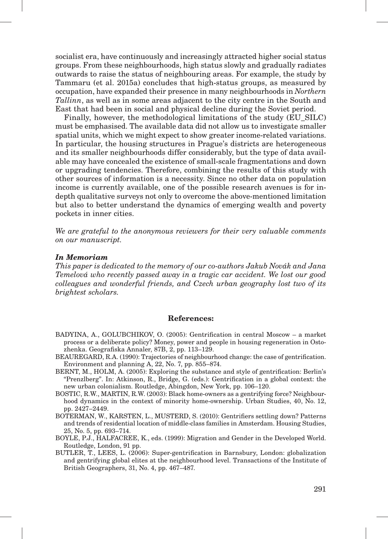socialist era, have continuously and increasingly attracted higher social status groups. From these neighbourhoods, high status slowly and gradually radiates outwards to raise the status of neighbouring areas. For example, the study by Tammaru (et al. 2015a) concludes that high-status groups, as measured by occupation, have expanded their presence in many neighbourhoods in *Northern Tallinn*, as well as in some areas adjacent to the city centre in the South and East that had been in social and physical decline during the Soviet period.

Finally, however, the methodological limitations of the study (EU\_SILC) must be emphasised. The available data did not allow us to investigate smaller spatial units, which we might expect to show greater income-related variations. In particular, the housing structures in Prague's districts are heterogeneous and its smaller neighbourhoods differ considerably, but the type of data available may have concealed the existence of small-scale fragmentations and down or upgrading tendencies. Therefore, combining the results of this study with other sources of information is a necessity. Since no other data on population income is currently available, one of the possible research avenues is for indepth qualitative surveys not only to overcome the above-mentioned limitation but also to better understand the dynamics of emerging wealth and poverty pockets in inner cities.

*We are grateful to the anonymous reviewers for their very valuable comments on our manuscript.*

#### *In Memoriam*

*This paper is dedicated to the memory of our co-authors Jakub Novák and Jana Temelová who recently passed away in a tragic car accident. We lost our good colleagues and wonderful friends, and Czech urban geography lost two of its brightest scholars.*

#### **References:**

- BADYINA, A., GOLUBCHIKOV, O. (2005): Gentrification in central Moscow a market process or a deliberate policy? Money, power and people in housing regeneration in Ostozhenka. Geografiska Annaler, 87B, 2, pp. 113–129.
- BEAUREGARD, R.A. (1990): Trajectories of neighbourhood change: the case of gentrification. Environment and planning A, 22, No. 7, pp. 855–874.
- BERNT, M., HOLM, A. (2005): Exploring the substance and style of gentrification: Berlin's "Prenzlberg". In: Atkinson, R., Bridge, G. (eds.): Gentrification in a global context: the new urban colonialism. Routledge, Abingdon, New York, pp. 106–120.
- BOSTIC, R.W., MARTIN, R.W. (2003): Black home-owners as a gentrifying force? Neighbourhood dynamics in the context of minority home-ownership. Urban Studies, 40, No. 12, pp. 2427–2449.
- BOTERMAN, W., KARSTEN, L., MUSTERD, S. (2010): Gentrifiers settling down? Patterns and trends of residential location of middle-class families in Amsterdam. Housing Studies, 25, No. 5, pp. 693–714.
- BOYLE, P.J., HALFACREE, K., eds. (1999): Migration and Gender in the Developed World. Routledge, London, 91 pp.
- BUTLER, T., LEES, L. (2006): Super-gentrification in Barnsbury, London: globalization and gentrifying global elites at the neighbourhood level. Transactions of the Institute of British Geographers, 31, No. 4, pp. 467–487.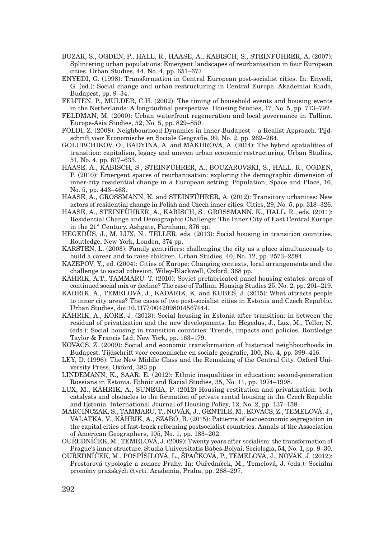- BUZAR, S., OGDEN, P., HALL, R., HAASE, A., KABISCH, S., STEINFÜHRER, A. (2007): Splintering urban populations: Emergent landscapes of reurbanisation in four European cities. Urban Studies, 44, No. 4, pp. 651–677.
- ENYEDI, G. (1998): Transformation in Central European post-socialist cities. In: Enyedi, G. (ed.): Social change and urban restructuring in Central Europe. Akademiai Kiado, Budapest, pp. 9–34.
- FEIJTEN, P., MULDER, C.H. (2002): The timing of household events and housing events in the Netherlands: A longitudinal perspective. Housing Studies, 17, No. 5, pp. 773–792.
- FELDMAN, M. (2000): Urban waterfront regeneration and local governance in Tallinn. Europe-Asia Studies, 52, No. 5, pp. 829–850.
- FÖLDI, Z. (2008): Neighbourhood Dynamics in Inner-Budapest a Realist Approach. Tijdschrift voor Economische en Sociale Geografie, 99, No. 2, pp. 262–264.
- GOLUBCHIKOV, O., BADYINA, A. and MAKHROVA, A. (2014): The hybrid spatialities of transition: capitalism, legacy and uneven urban economic restructuring. Urban Studies, 51, No. 4, pp. 617–633.
- HAASE, A., KABISCH, S., STEINFÜHRER, A., BOUZAROVSKI, S., HALL, R., OGDEN, P. (2010): Emergent spaces of reurbanisation: exploring the demographic dimension of inner-city residential change in a European setting. Population, Space and Place, 16, No. 5, pp. 443–463.
- HAASE, A., GROSSMANN, K. and STEINFÜHRER, A. (2012): Transitory urbanites: New actors of residential change in Polish and Czech inner cities. Cities, 29, No. 5, pp. 318–326.
- HAASE, A., STEINFÜHRER, A., KABISCH, S., GROSSMANN, K., HALL, R., eds. (2011): Residential Change and Demographic Challenge: The Inner City of East Central Europe in the 21<sup>st</sup> Century. Ashgate, Farnham, 376 pp.
- HEGEDÜS, J., M. LUX, N., TELLER, eds. (2013): Social housing in transition countries. Routledge, New York, London, 374 pp.
- KARSTEN, L. (2003): Family gentrifiers: challenging the city as a place simultaneously to build a career and to raise children. Urban Studies, 40, No. 12, pp. 2573–2584.
- KAZEPOV, Y., ed. (2004): Cities of Europe: Changing contexts, local arrangements and the challenge to social cohesion. Wiley-Blackwell, Oxford, 368 pp.
- KÄHRIK, A.T., TAMMARU. T. (2010): Soviet prefabricated panel housing estates: areas of continued social mix or decline? The case of Tallinn. Housing Studies 25, No. 2, pp. 201–219.
- KÄHRIK, A., TEMELOVÁ, J., KADARIK, K. and KUBEŠ, J. (2015): What attracts people to inner city areas? The cases of two post-socialist cities in Estonia and Czech Republic. Urban Studies, doi:10.1177/0042098014567444.
- KÄHRIK, A., KÕRE, J. (2013): Social housing in Estonia after transition: in between the residual of privatization and the new developments. In: Hegedüs, J., Lux, M., Teller, N. (eds.): Social housing in transition countries: Trends, impacts and policies. Routledge Taylor & Francis Ltd, New York, pp. 163–179.
- KOVÁCS, Z. (2009): Social and economic transformation of historical neighbourhoods in Budapest. Tijdschrift voor economische en sociale geografie, 100, No. 4, pp. 399–416.
- LEY, D. (1996): The New Middle Class and the Remaking of the Central City. Oxford University Press, Oxford, 383 pp.
- LINDEMANN, K., SAAR, E. (2012): Ethnic inequalities in education: second-generation Russians in Estonia. Ethnic and Racial Studies, 35, No. 11, pp. 1974–1998.
- LUX, M., KÄHRIK, A., SUNEGA, P. (2012) Housing restitution and privatization: both catalysts and obstacles to the formation of private rental housing in the Czech Republic and Estonia. International Journal of Housing Policy, 12, No. 2, pp. 137–158.
- MARCIŃCZAK, S., TAMMARU, T., NOVÁK, J., GENTILE, M., KOVÁCS, Z., TEMELOVÁ, J., VALATKA, V., KÄHRIK, A., SZABÓ, B. (2015): Patterns of socioeconomic segregation in the capital cities of fast-track reforming postsocialist countries. Annals of the Association of American Geographers, 105, No. 1, pp. 183–202.
- OUŘEDNÍČEK, M., TEMELOVÁ, J. (2009): Twenty years after socialism: the transformation of Prague's inner structure. Studia Universitatis Babes-Bolyai, Sociologia, 54, No. 1, pp. 9–30.
- OUŘEDNÍČEK, M., POSPÍŠILOVÁ, L., ŠPAČKOVÁ, P., TEMELOVÁ, J., NOVÁK, J. (2012): Prostorová typologie a zonace Prahy. In: Ouředníček, M., Temelová, J. (eds.): Sociální proměny pražských čtvrtí. Academia, Praha, pp. 268–297.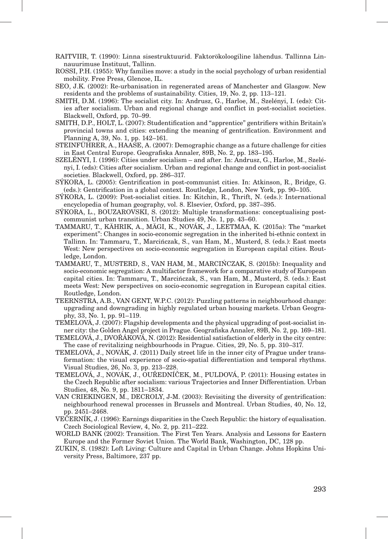- RAITVIIR, T. (1990): Linna sisestruktuurid. Faktorökoloogiline lähendus. Tallinna Linnauurimuse Instituut, Tallinn.
- ROSSI, P.H. (1955): Why families move: a study in the social psychology of urban residential mobility. Free Press, Glencoe, IL.
- SEO, J.K. (2002): Re-urbanisation in regenerated areas of Manchester and Glasgow. New residents and the problems of sustainability. Cities, 19, No. 2, pp. 113–121.
- SMITH, D.M. (1996): The socialist city. In: Andrusz, G., Harloe, M., Szelényi, I. (eds): Cities after socialism. Urban and regional change and conflict in post-socialist societies. Blackwell, Oxford, pp. 70–99.
- SMITH, D.P., HOLT, L. (2007): Studentification and "apprentice" gentrifiers within Britain's provincial towns and cities: extending the meaning of gentrification. Environment and Planning A, 39, No. 1, pp. 142–161.
- STEINFÜHRER, A., HAASE, A. (2007): Demographic change as a future challenge for cities in East Central Europe. Geografiska Annaler, 89B, No. 2, pp. 183–195.
- SZELÉNYI, I. (1996): Cities under socialism and after. In: Andrusz, G., Harloe, M., Szelényi, I. (eds): Cities after socialism. Urban and regional change and conflict in post-socialist societies. Blackwell, Oxford, pp. 286–317.
- SÝKORA, L. (2005): Gentrification in post-communist cities. In: Atkinson, R., Bridge, G. (eds.): Gentrification in a global context. Routledge, London, New York, pp. 90–105.
- SÝKORA, L. (2009): Post-socialist cities. In: Kitchin, R., Thrift, N. (eds.): International encyclopedia of human geography, vol. 8. Elsevier, Oxford, pp. 387–395.
- SÝKORA, L., BOUZAROVSKI, S. (2012): Multiple transformations: conceptualising postcommunist urban transition. Urban Studies 49, No. 1, pp. 43–60.
- TAMMARU, T., KÄHRIK, A., MÄGI, K., NOVÁK, J., LEETMAA, K. (2015a): The "market experiment": Changes in socio-economic segregation in the inherited bi-ethnic context in Tallinn. In: Tammaru, T., Marcińczak, S., van Ham, M., Musterd, S. (eds.): East meets West: New perspectives on socio-economic segregation in European capital cities. Routledge, London.
- TAMMARU, T., MUSTERD, S., VAN HAM, M., MARCIŃCZAK, S. (2015b): Inequality and socio-economic segregation: A multifactor framework for a comparative study of European capital cities. In: Tammaru, T., Marcińczak, S., van Ham, M., Musterd, S. (eds.): East meets West: New perspectives on socio-economic segregation in European capital cities. Routledge, London.
- TEERNSTRA, A.B., VAN GENT, W.P.C. (2012): Puzzling patterns in neighbourhood change: upgrading and downgrading in highly regulated urban housing markets. Urban Geography, 33, No. 1, pp. 91–119.
- TEMELOVÁ, J. (2007): Flagship developments and the physical upgrading of post-socialist inner city: the Golden Angel project in Prague. Geografiska Annaler, 89B, No. 2, pp. 169–181.
- TEMELOVÁ, J., DVOŘÁKOVÁ, N. (2012): Residential satisfaction of elderly in the city centre: The case of revitalizing neighbourhoods in Prague. Cities, 29, No. 5, pp. 310–317.
- TEMELOVÁ, J., NOVÁK, J. (2011) Daily street life in the inner city of Prague under transformation: the visual experience of socio-spatial differentiation and temporal rhythms. Visual Studies, 26, No. 3, pp. 213–228.
- TEMELOVÁ, J., NOVÁK, J., OUŘEDNÍČEK, M., PULDOVÁ, P. (2011): Housing estates in the Czech Republic after socialism: various Trajectories and Inner Differentiation. Urban Studies, 48, No. 9, pp. 1811–1834.
- VAN CRIEKINGEN, M., DECROLY, J-M. (2003): Revisiting the diversity of gentrification: neighbourhood renewal processes in Brussels and Montreal. Urban Studies, 40, No. 12, pp. 2451–2468.
- VEČERNÍK, J. (1996): Earnings disparities in the Czech Republic: the history of equalisation. Czech Sociological Review, 4, No. 2, pp. 211–222.
- WORLD BANK (2002): Transition. The First Ten Years. Analysis and Lessons for Eastern Europe and the Former Soviet Union. The World Bank, Washington, DC, 128 pp.
- ZUKIN, S. (1982): Loft Living: Culture and Capital in Urban Change. Johns Hopkins University Press, Baltimore, 237 pp.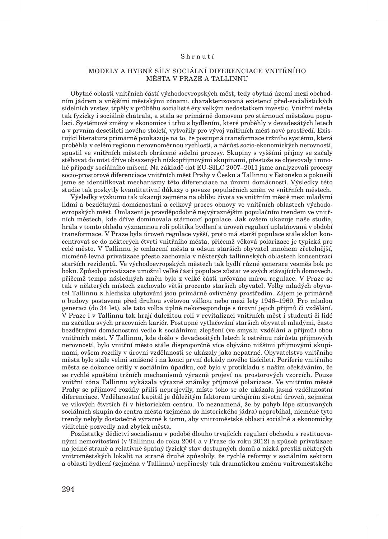#### Shrnutí

#### MODELY A HYBNÉ SÍLY SOCIÁLNÍ DIFERENCIACE VNITŘNÍHO MĚSTA V PRAZE A TALLINNU

Obytné oblasti vnitřních částí východoevropských měst, tedy obytná území mezi obchodním jádrem a vnějšími městskými zónami, charakterizovaná existencí před-socialistických sídelních vrstev, trpěly v průběhu socialisté éry velkým nedostatkem investic. Vnitřní města tak fyzicky i sociálně chátrala, a stala se primárně domovem pro stárnoucí městskou populaci. Systémové změny v ekonomice i trhu s bydlením, které proběhly v devadesátých letech a v prvním desetiletí nového století, vytvořily pro vývoj vnitřních měst nové prostředí. Existující literatura primárně poukazuje na to, že postupná transformace tržního systému, která proběhla v celém regionu nerovnoměrnou rychlostí, a nárůst socio-ekonomických nerovností, spustil ve vnitřních městech obrácené sídelní procesy. Skupiny s vyššími příjmy se začaly stěhovat do míst dříve obsazených nízkopříjmovými skupinami, přestože se objevovaly i mnohé případy sociálního mísení. Na základě dat EU-SILC 2007–2011 jsme analyzovali procesy socio-prostorové diferenciace vnitřních měst Prahy v Česku a Tallinnu v Estonsku a pokusili jsme se identifikovat mechanismy této diferenciace na úrovni domácností. Výsledky této studie tak poskytly kvantitativní důkazy o povaze populačních změn ve vnitřních městech.

Výsledky výzkumu tak ukazují zejména na oblibu života ve vnitřním městě mezi mladými lidmi a bezdětnými domácnostmi a celkový proces obnovy ve vnitřních oblastech východoevropských měst. Omlazení je pravděpodobně nejvýraznějším populačním trendem ve vnitřních městech, kde dříve dominovala stárnoucí populace. Jak ovšem ukazuje naše studie, hrála v tomto ohledu významnou roli politika bydlení a úroveň regulací uplatňovaná v období transformace. V Praze byla úroveň regulace vyšší, proto má starší populace stále sklon koncentrovat se do některých čtvrtí vnitřního města, přičemž věková polarizace je typická pro celé město. V Tallinnu je omlazení města a odsun starších obyvatel mnohem zřetelnější, nicméně levná privatizace přesto zachovala v některých tallinnských oblastech koncentraci starších rezidentů. Ve východoevropských městech tak bydlí různé generace vesměs bok po boku. Způsob privatizace umožnil velké části populace zůstat ve svých stávajících domovech, přičemž tempo následných změn bylo z velké části určováno mírou regulace. V Praze se tak v některých místech zachovalo větší procento starších obyvatel. Volby mladých obyvatel Tallinnu z hlediska ubytování jsou primárně ovlivněny prostředím. Zájem je primárně o budovy postavené před druhou světovou válkou nebo mezi lety 1946–1960. Pro mladou generaci (do 34 let), ale tato volba úplně nekoresponduje s úrovní jejich příjmů či vzdělání. V Praze i v Tallinnu tak hrají důležitou roli v revitalizaci vnitřních měst i studenti či lidé na začátku svých pracovních kariér. Postupné vytlačování starších obyvatel mladými, často bezdětnými domácnostmi vedlo k sociálnímu zlepšení (ve smyslu vzdělání a příjmů) obou vnitřních měst. V Tallinnu, kde došlo v devadesátých letech k ostrému nárůstu příjmových nerovností, bylo vnitřní město stále disproporčně více obýváno nižšími příjmovými skupinami, ovšem rozdíly v úrovni vzdělanosti se ukázaly jako nepatrné. Obyvatelstvo vnitřního města bylo stále velmi smíšené i na konci první dekády nového tisíciletí. Periferie vnitřního města se dokonce ocitly v sociálním úpadku, což bylo v protikladu s naším očekáváním, že se rychlé spuštění tržních mechanismů výrazně projeví na prostorových vzorcích. Pouze vnitřní zóna Tallinnu vykázala výrazné známky příjmové polarizace. Ve vnitřním městě Prahy se příjmové rozdíly příliš neprojevily, místo toho se ale ukázala jasná vzdělanostní diferenciace. Vzdělanostní kapitál je důležitým faktorem určujícím životní úroveň, zejména ve vilových čtvrtích či v historickém centru. To neznamená, že by pohyb lépe situovaných sociálních skupin do centra města (zejména do historického jádra) neprobíhal, nicméně tyto trendy nebyly dostatečně výrazné k tomu, aby vnitroměstské oblasti sociálně a ekonomicky viditelně pozvedly nad zbytek města.

Pozůstatky dědictví socialismu v podobě dlouho trvajících regulací obchodu s restituovanými nemovitostmi (v Tallinnu do roku 2004 a v Praze do roku 2012) a způsob privatizace na jedné straně a relativně špatný fyzický stav dostupných domů a nízká prestiž některých vnitroměstských lokalit na straně druhé způsobily, že rychlé reformy v sociálním sektoru a oblasti bydlení (zejména v Tallinnu) nepřinesly tak dramatickou změnu vnitroměstského